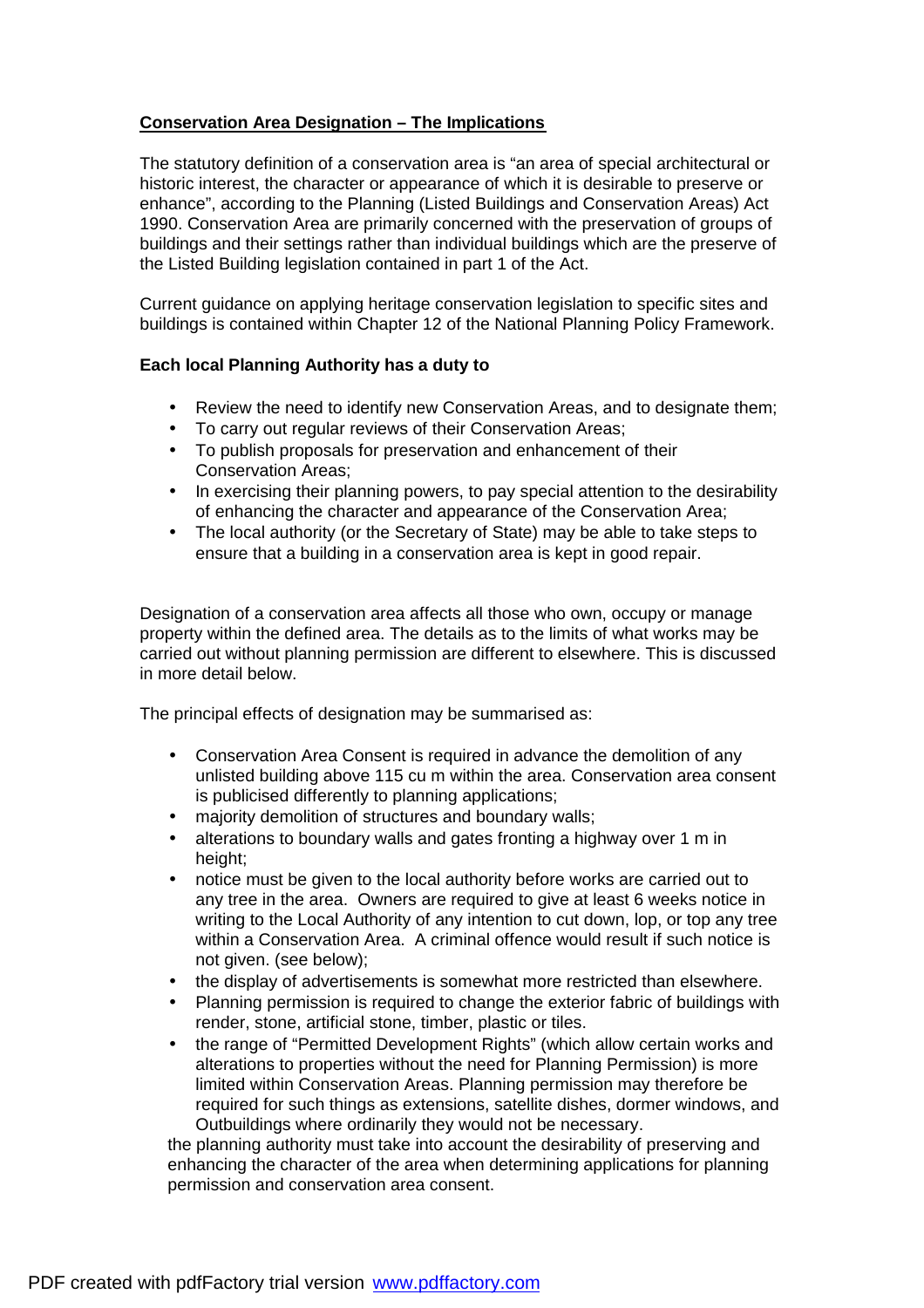# **Conservation Area Designation – The Implications**

The statutory definition of a conservation area is "an area of special architectural or historic interest, the character or appearance of which it is desirable to preserve or enhance", according to the Planning (Listed Buildings and Conservation Areas) Act 1990. Conservation Area are primarily concerned with the preservation of groups of buildings and their settings rather than individual buildings which are the preserve of the Listed Building legislation contained in part 1 of the Act.

Current guidance on applying heritage conservation legislation to specific sites and buildings is contained within Chapter 12 of the National Planning Policy Framework.

## **Each local Planning Authority has a duty to**

- Review the need to identify new Conservation Areas, and to designate them;
- To carry out regular reviews of their Conservation Areas;
- To publish proposals for preservation and enhancement of their Conservation Areas;
- In exercising their planning powers, to pay special attention to the desirability of enhancing the character and appearance of the Conservation Area;
- The local authority (or the Secretary of State) may be able to take steps to ensure that a building in a conservation area is kept in good repair.

Designation of a conservation area affects all those who own, occupy or manage property within the defined area. The details as to the limits of what works may be carried out without planning permission are different to elsewhere. This is discussed in more detail below.

The principal effects of designation may be summarised as:

- Conservation Area Consent is required in advance the demolition of any unlisted building above 115 cu m within the area. Conservation area consent is publicised differently to planning applications;
- majority demolition of structures and boundary walls;
- alterations to boundary walls and gates fronting a highway over 1 m in height;
- notice must be given to the local authority before works are carried out to any tree in the area. Owners are required to give at least 6 weeks notice in writing to the Local Authority of any intention to cut down, lop, or top any tree within a Conservation Area. A criminal offence would result if such notice is not given. (see below);
- the display of advertisements is somewhat more restricted than elsewhere.
- Planning permission is required to change the exterior fabric of buildings with render, stone, artificial stone, timber, plastic or tiles.
- the range of "Permitted Development Rights" (which allow certain works and alterations to properties without the need for Planning Permission) is more limited within Conservation Areas. Planning permission may therefore be required for such things as extensions, satellite dishes, dormer windows, and Outbuildings where ordinarily they would not be necessary.

the planning authority must take into account the desirability of preserving and enhancing the character of the area when determining applications for planning permission and conservation area consent.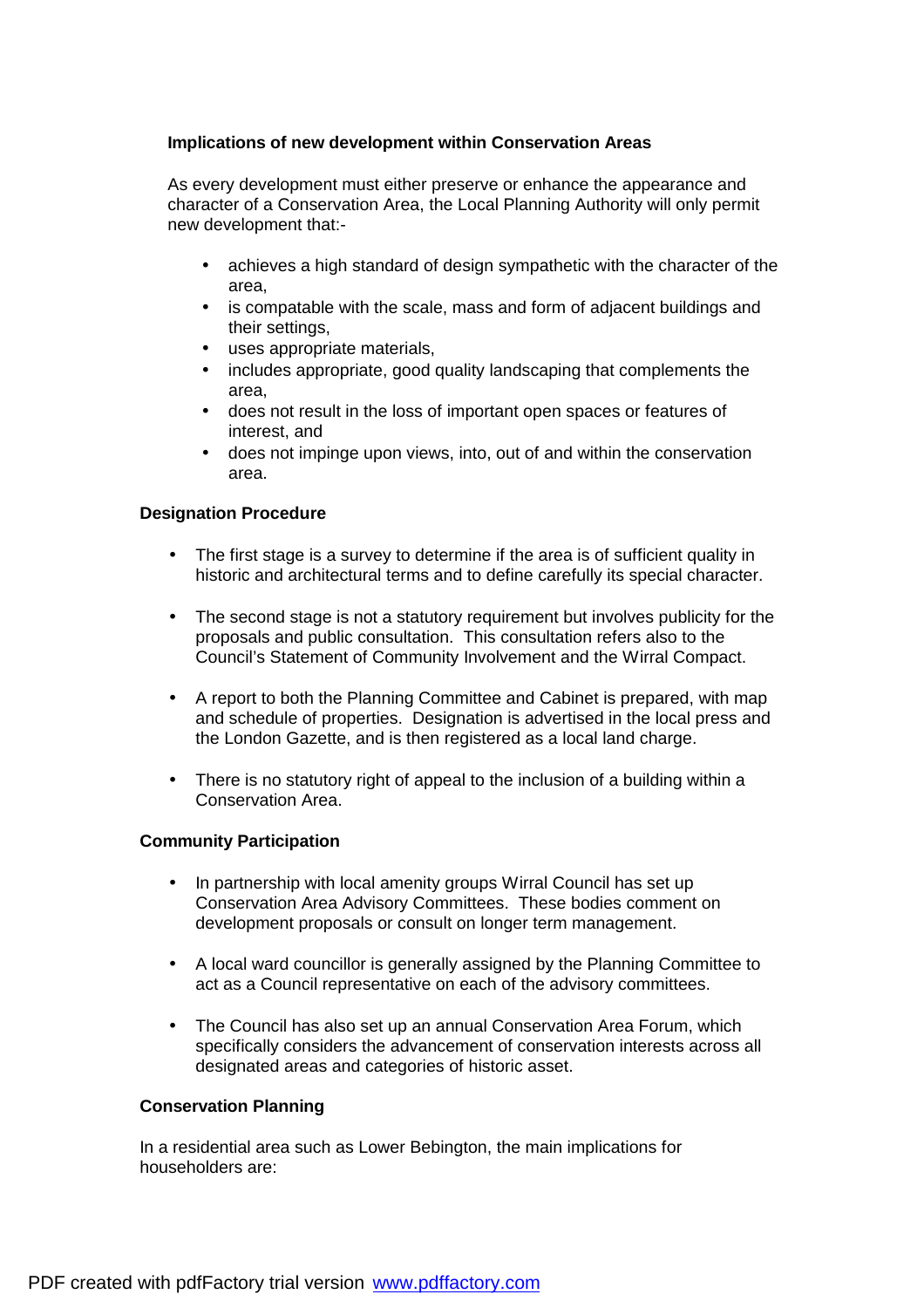## **Implications of new development within Conservation Areas**

As every development must either preserve or enhance the appearance and character of a Conservation Area, the Local Planning Authority will only permit new development that:-

- achieves a high standard of design sympathetic with the character of the area,
- is compatable with the scale, mass and form of adjacent buildings and their settings,
- uses appropriate materials,
- includes appropriate, good quality landscaping that complements the area,
- does not result in the loss of important open spaces or features of interest, and
- does not impinge upon views, into, out of and within the conservation area.

### **Designation Procedure**

- The first stage is a survey to determine if the area is of sufficient quality in historic and architectural terms and to define carefully its special character.
- The second stage is not a statutory requirement but involves publicity for the proposals and public consultation. This consultation refers also to the Council's Statement of Community Involvement and the Wirral Compact.
- A report to both the Planning Committee and Cabinet is prepared, with map and schedule of properties. Designation is advertised in the local press and the London Gazette, and is then registered as a local land charge.
- There is no statutory right of appeal to the inclusion of a building within a Conservation Area.

## **Community Participation**

- In partnership with local amenity groups Wirral Council has set up Conservation Area Advisory Committees. These bodies comment on development proposals or consult on longer term management.
- A local ward councillor is generally assigned by the Planning Committee to act as a Council representative on each of the advisory committees.
- The Council has also set up an annual Conservation Area Forum, which specifically considers the advancement of conservation interests across all designated areas and categories of historic asset.

#### **Conservation Planning**

In a residential area such as Lower Bebington, the main implications for householders are: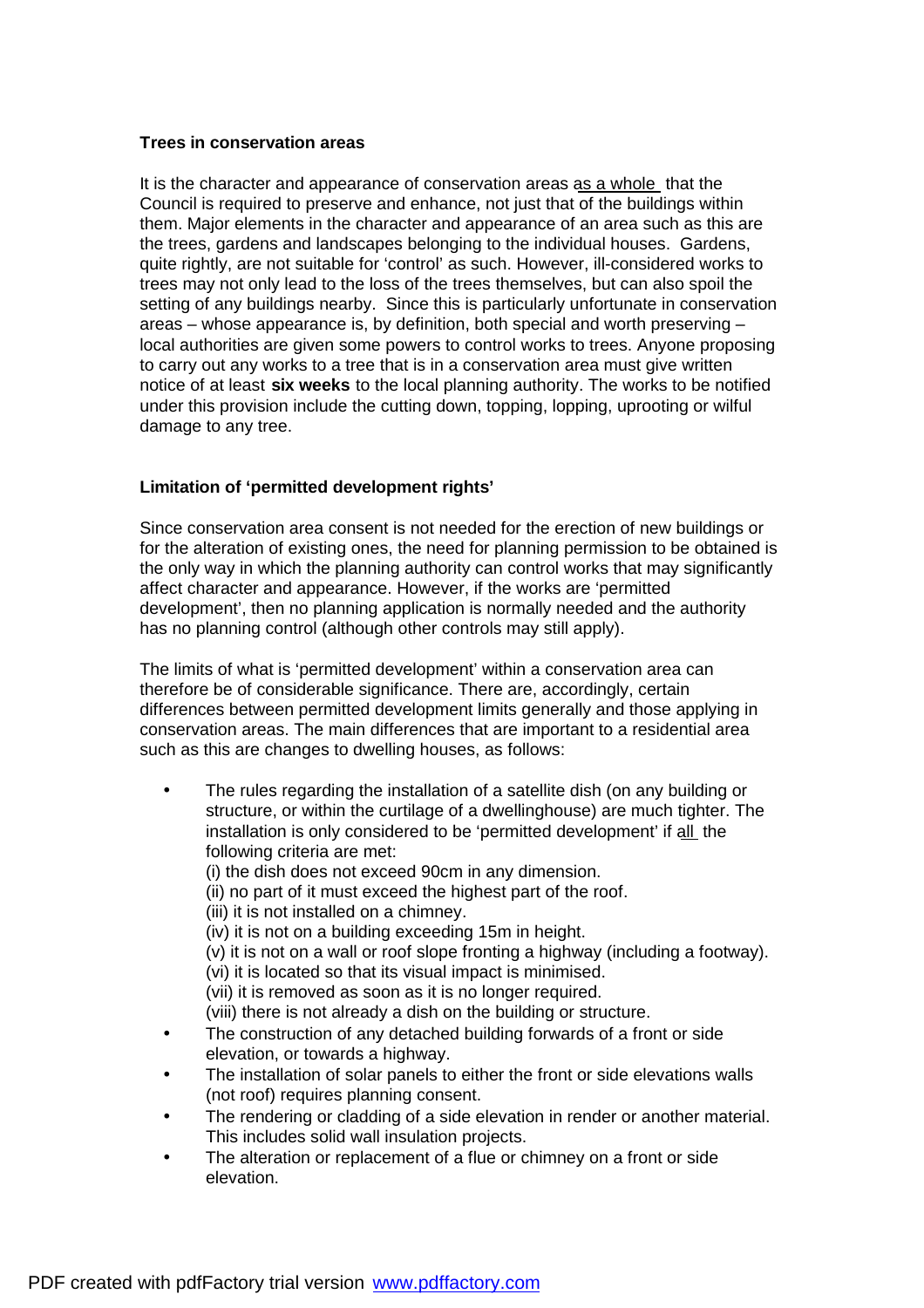#### **Trees in conservation areas**

It is the character and appearance of conservation areas as a whole that the Council is required to preserve and enhance, not just that of the buildings within them. Major elements in the character and appearance of an area such as this are the trees, gardens and landscapes belonging to the individual houses. Gardens, quite rightly, are not suitable for 'control' as such. However, ill-considered works to trees may not only lead to the loss of the trees themselves, but can also spoil the setting of any buildings nearby. Since this is particularly unfortunate in conservation areas – whose appearance is, by definition, both special and worth preserving – local authorities are given some powers to control works to trees. Anyone proposing to carry out any works to a tree that is in a conservation area must give written notice of at least **six weeks** to the local planning authority. The works to be notified under this provision include the cutting down, topping, lopping, uprooting or wilful damage to any tree.

## **Limitation of 'permitted development rights'**

Since conservation area consent is not needed for the erection of new buildings or for the alteration of existing ones, the need for planning permission to be obtained is the only way in which the planning authority can control works that may significantly affect character and appearance. However, if the works are 'permitted development', then no planning application is normally needed and the authority has no planning control (although other controls may still apply).

The limits of what is 'permitted development' within a conservation area can therefore be of considerable significance. There are, accordingly, certain differences between permitted development limits generally and those applying in conservation areas. The main differences that are important to a residential area such as this are changes to dwelling houses, as follows:

- The rules regarding the installation of a satellite dish (on any building or structure, or within the curtilage of a dwellinghouse) are much tighter. The installation is only considered to be 'permitted development' if all the following criteria are met:
	- (i) the dish does not exceed 90cm in any dimension.
	- (ii) no part of it must exceed the highest part of the roof.
	- (iii) it is not installed on a chimney.
	- (iv) it is not on a building exceeding 15m in height.

(v) it is not on a wall or roof slope fronting a highway (including a footway). (vi) it is located so that its visual impact is minimised.

(vii) it is removed as soon as it is no longer required.

(viii) there is not already a dish on the building or structure.

- The construction of any detached building forwards of a front or side elevation, or towards a highway.
- The installation of solar panels to either the front or side elevations walls (not roof) requires planning consent.
- The rendering or cladding of a side elevation in render or another material. This includes solid wall insulation projects.
- The alteration or replacement of a flue or chimney on a front or side elevation.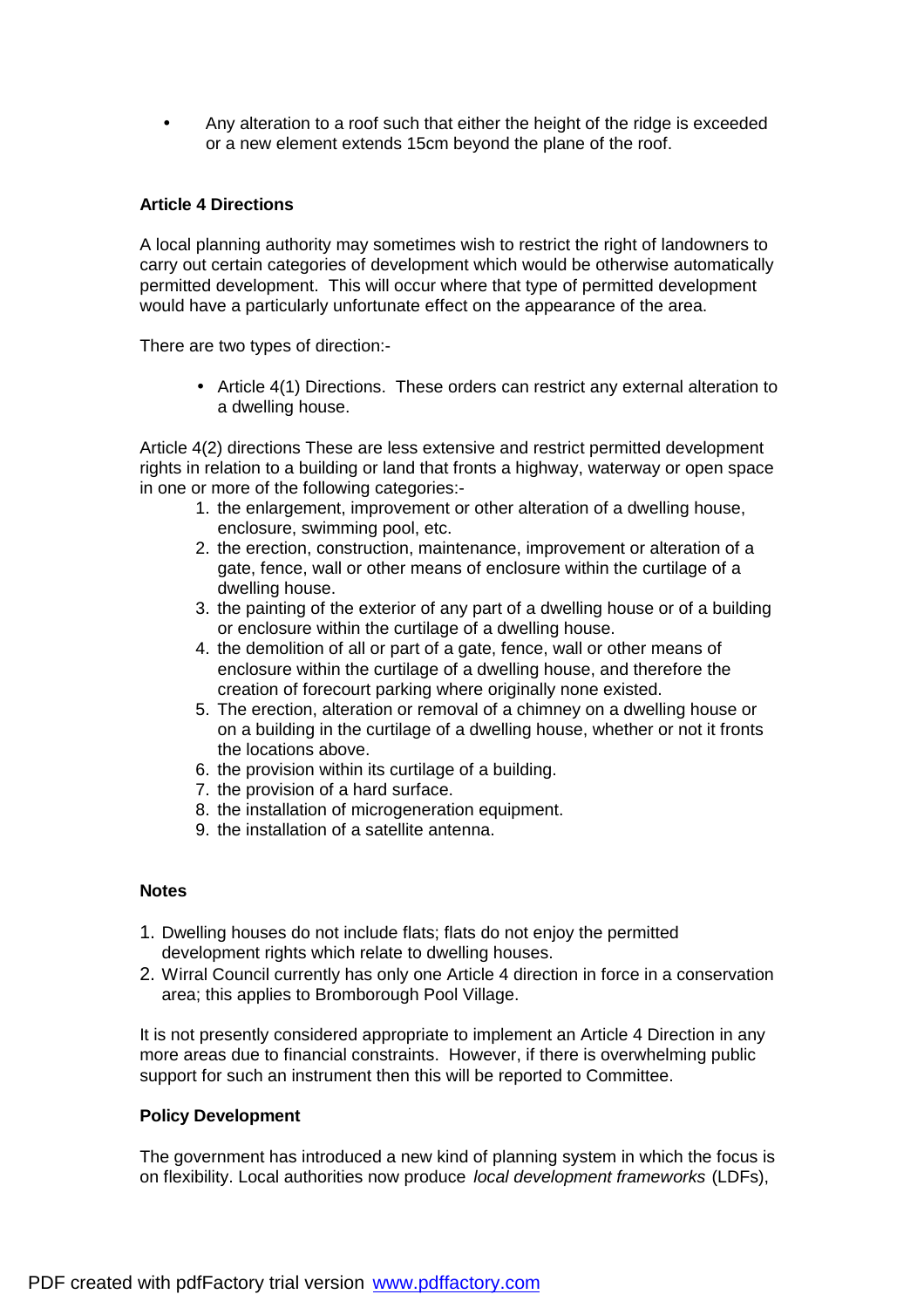• Any alteration to a roof such that either the height of the ridge is exceeded or a new element extends 15cm beyond the plane of the roof.

### **Article 4 Directions**

A local planning authority may sometimes wish to restrict the right of landowners to carry out certain categories of development which would be otherwise automatically permitted development. This will occur where that type of permitted development would have a particularly unfortunate effect on the appearance of the area.

There are two types of direction:-

• Article 4(1) Directions. These orders can restrict any external alteration to a dwelling house.

Article 4(2) directions These are less extensive and restrict permitted development rights in relation to a building or land that fronts a highway, waterway or open space in one or more of the following categories:-

- 1. the enlargement, improvement or other alteration of a dwelling house, enclosure, swimming pool, etc.
- 2. the erection, construction, maintenance, improvement or alteration of a gate, fence, wall or other means of enclosure within the curtilage of a dwelling house.
- 3. the painting of the exterior of any part of a dwelling house or of a building or enclosure within the curtilage of a dwelling house.
- 4. the demolition of all or part of a gate, fence, wall or other means of enclosure within the curtilage of a dwelling house, and therefore the creation of forecourt parking where originally none existed.
- 5. The erection, alteration or removal of a chimney on a dwelling house or on a building in the curtilage of a dwelling house, whether or not it fronts the locations above.
- 6. the provision within its curtilage of a building.
- 7. the provision of a hard surface.
- 8. the installation of microgeneration equipment.
- 9. the installation of a satellite antenna.

#### **Notes**

- 1. Dwelling houses do not include flats; flats do not enjoy the permitted development rights which relate to dwelling houses.
- 2. Wirral Council currently has only one Article 4 direction in force in a conservation area; this applies to Bromborough Pool Village.

It is not presently considered appropriate to implement an Article 4 Direction in any more areas due to financial constraints. However, if there is overwhelming public support for such an instrument then this will be reported to Committee.

#### **Policy Development**

The government has introduced a new kind of planning system in which the focus is on flexibility. Local authorities now produce *local development frameworks* (LDFs),